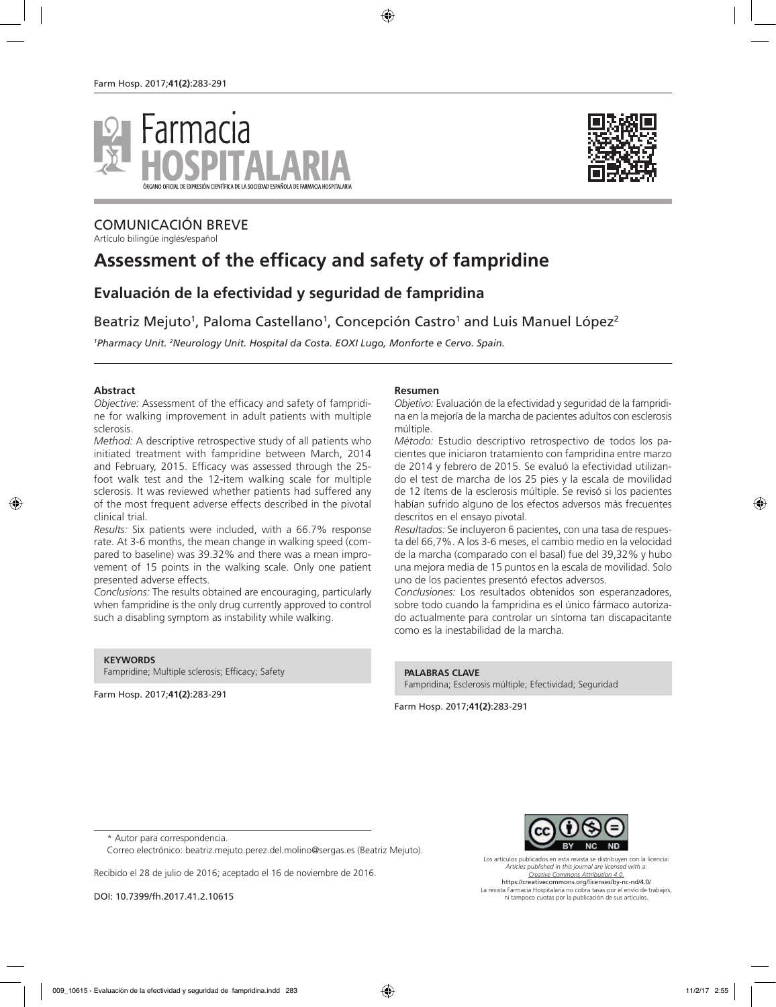



## COMUNICACIÓN BREVE

Artículo bilingüe inglés/español

# **Assessment of the efficacy and safety of fampridine**

# **Evaluación de la efectividad y seguridad de fampridina**

Beatriz Mejuto<sup>1</sup>, Paloma Castellano<sup>1</sup>, Concepción Castro<sup>1</sup> and Luis Manuel López<sup>2</sup>

<sup>1</sup> Pharmacy Unit. <sup>2</sup>Neurology Unit. Hospital da Costa. EOXI Lugo, Monforte e Cervo. Spain.

#### **Abstract**

*Objective:* Assessment of the efficacy and safety of fampridine for walking improvement in adult patients with multiple sclerosis.

*Method:* A descriptive retrospective study of all patients who initiated treatment with fampridine between March, 2014 and February, 2015. Efficacy was assessed through the 25 foot walk test and the 12-item walking scale for multiple sclerosis. It was reviewed whether patients had suffered any of the most frequent adverse effects described in the pivotal clinical trial.

*Results:* Six patients were included, with a 66.7% response rate. At 3-6 months, the mean change in walking speed (compared to baseline) was 39.32% and there was a mean improvement of 15 points in the walking scale. Only one patient presented adverse effects.

*Conclusions:* The results obtained are encouraging, particularly when fampridine is the only drug currently approved to control such a disabling symptom as instability while walking.

**KEYWORDS**

Fampridine; Multiple sclerosis; Efficacy; Safety

Farm Hosp. 2017;**41(2)**:283-291

#### **Resumen**

*Objetivo:* Evaluación de la efectividad y seguridad de la fampridina en la mejoría de la marcha de pacientes adultos con esclerosis múltiple.

*Método:* Estudio descriptivo retrospectivo de todos los pacientes que iniciaron tratamiento con fampridina entre marzo de 2014 y febrero de 2015. Se evaluó la efectividad utilizando el test de marcha de los 25 pies y la escala de movilidad de 12 ítems de la esclerosis múltiple. Se revisó si los pacientes habían sufrido alguno de los efectos adversos más frecuentes descritos en el ensayo pivotal.

*Resultados:* Se incluyeron 6 pacientes, con una tasa de respuesta del 66,7%. A los 3-6 meses, el cambio medio en la velocidad de la marcha (comparado con el basal) fue del 39,32% y hubo una mejora media de 15 puntos en la escala de movilidad. Solo uno de los pacientes presentó efectos adversos.

*Conclusiones:* Los resultados obtenidos son esperanzadores, sobre todo cuando la fampridina es el único fármaco autorizado actualmente para controlar un síntoma tan discapacitante como es la inestabilidad de la marcha.

**PALABRAS CLAVE** Fampridina; Esclerosis múltiple; Efectividad; Seguridad

Farm Hosp. 2017;**41(2)**:283-291

Correo electrónico: beatriz.mejuto.perez.del.molino@sergas.es (Beatriz Mejuto).

Recibido el 28 de julio de 2016; aceptado el 16 de noviembre de 2016.

DOI: 10.7399/fh.2017.41.2.10615



Los artículos publicados en esta revista se distribuyen con la licencia: *Articles published in this journal are licensed with a: Creative Commons Attribution 4.0.* https://creativecommons.org/licenses/by-nc-nd/4.0/ La revista Farmacia Hospitalaria no cobra tasas por el envío de trabajos, ni tampoco cuotas por la publicación de sus artículos.

<sup>\*</sup> Autor para correspondencia.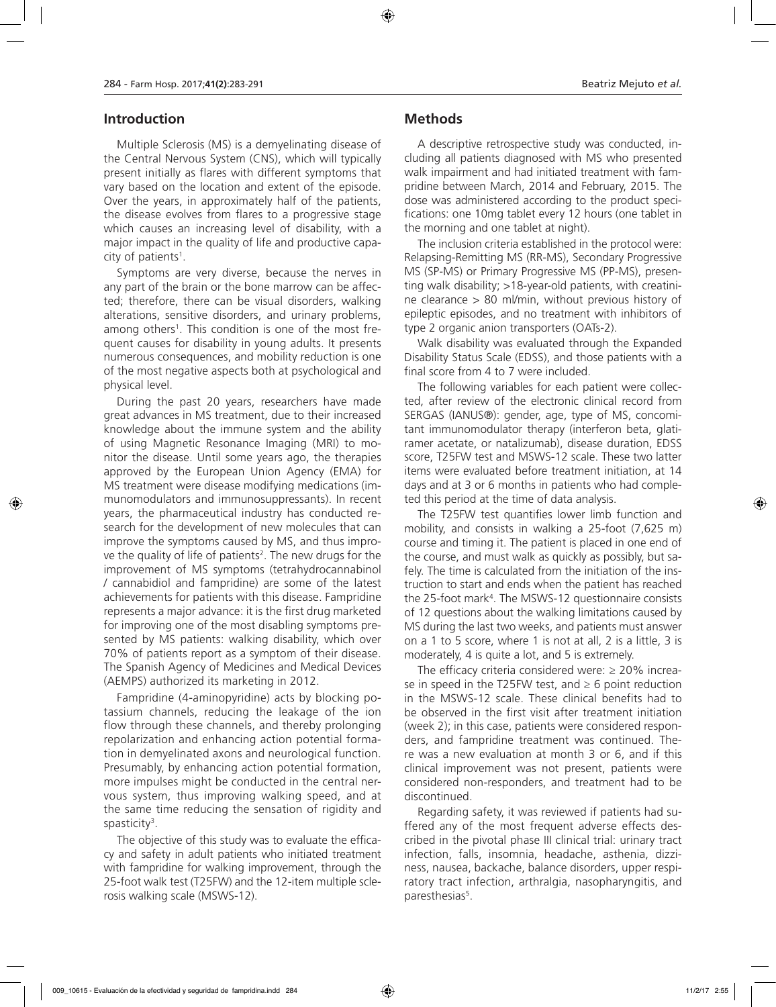## **Introduction**

Multiple Sclerosis (MS) is a demyelinating disease of the Central Nervous System (CNS), which will typically present initially as flares with different symptoms that vary based on the location and extent of the episode. Over the years, in approximately half of the patients, the disease evolves from flares to a progressive stage which causes an increasing level of disability, with a major impact in the quality of life and productive capa $city$  of patients<sup>1</sup>.

Symptoms are very diverse, because the nerves in any part of the brain or the bone marrow can be affected; therefore, there can be visual disorders, walking alterations, sensitive disorders, and urinary problems, among others<sup>1</sup>. This condition is one of the most frequent causes for disability in young adults. It presents numerous consequences, and mobility reduction is one of the most negative aspects both at psychological and physical level.

During the past 20 years, researchers have made great advances in MS treatment, due to their increased knowledge about the immune system and the ability of using Magnetic Resonance Imaging (MRI) to monitor the disease. Until some years ago, the therapies approved by the European Union Agency (EMA) for MS treatment were disease modifying medications (immunomodulators and immunosuppressants). In recent years, the pharmaceutical industry has conducted research for the development of new molecules that can improve the symptoms caused by MS, and thus improve the quality of life of patients<sup>2</sup>. The new drugs for the improvement of MS symptoms (tetrahydrocannabinol / cannabidiol and fampridine) are some of the latest achievements for patients with this disease. Fampridine represents a major advance: it is the first drug marketed for improving one of the most disabling symptoms presented by MS patients: walking disability, which over 70% of patients report as a symptom of their disease. The Spanish Agency of Medicines and Medical Devices (AEMPS) authorized its marketing in 2012.

Fampridine (4-aminopyridine) acts by blocking potassium channels, reducing the leakage of the ion flow through these channels, and thereby prolonging repolarization and enhancing action potential formation in demyelinated axons and neurological function. Presumably, by enhancing action potential formation, more impulses might be conducted in the central nervous system, thus improving walking speed, and at the same time reducing the sensation of rigidity and spasticity<sup>3</sup>.

The objective of this study was to evaluate the efficacy and safety in adult patients who initiated treatment with fampridine for walking improvement, through the 25-foot walk test (T25FW) and the 12-item multiple sclerosis walking scale (MSWS-12).

#### **Methods**

A descriptive retrospective study was conducted, including all patients diagnosed with MS who presented walk impairment and had initiated treatment with fampridine between March, 2014 and February, 2015. The dose was administered according to the product specifications: one 10mg tablet every 12 hours (one tablet in the morning and one tablet at night).

The inclusion criteria established in the protocol were: Relapsing-Remitting MS (RR-MS), Secondary Progressive MS (SP-MS) or Primary Progressive MS (PP-MS), presenting walk disability; >18-year-old patients, with creatinine clearance > 80 ml/min, without previous history of epileptic episodes, and no treatment with inhibitors of type 2 organic anion transporters (OATs-2).

Walk disability was evaluated through the Expanded Disability Status Scale (EDSS), and those patients with a final score from 4 to 7 were included.

The following variables for each patient were collected, after review of the electronic clinical record from SERGAS (IANUS®): gender, age, type of MS, concomitant immunomodulator therapy (interferon beta, glatiramer acetate, or natalizumab), disease duration, EDSS score, T25FW test and MSWS-12 scale. These two latter items were evaluated before treatment initiation, at 14 days and at 3 or 6 months in patients who had completed this period at the time of data analysis.

The T25FW test quantifies lower limb function and mobility, and consists in walking a 25-foot (7,625 m) course and timing it. The patient is placed in one end of the course, and must walk as quickly as possibly, but safely. The time is calculated from the initiation of the instruction to start and ends when the patient has reached the 25-foot mark4 . The MSWS-12 questionnaire consists of 12 questions about the walking limitations caused by MS during the last two weeks, and patients must answer on a 1 to 5 score, where 1 is not at all, 2 is a little, 3 is moderately, 4 is quite a lot, and 5 is extremely.

The efficacy criteria considered were:  $\geq$  20% increase in speed in the T25FW test, and  $\geq 6$  point reduction in the MSWS-12 scale. These clinical benefits had to be observed in the first visit after treatment initiation (week 2); in this case, patients were considered responders, and fampridine treatment was continued. There was a new evaluation at month 3 or 6, and if this clinical improvement was not present, patients were considered non-responders, and treatment had to be discontinued.

Regarding safety, it was reviewed if patients had suffered any of the most frequent adverse effects described in the pivotal phase III clinical trial: urinary tract infection, falls, insomnia, headache, asthenia, dizziness, nausea, backache, balance disorders, upper respiratory tract infection, arthralgia, nasopharyngitis, and paresthesias<sup>5</sup>.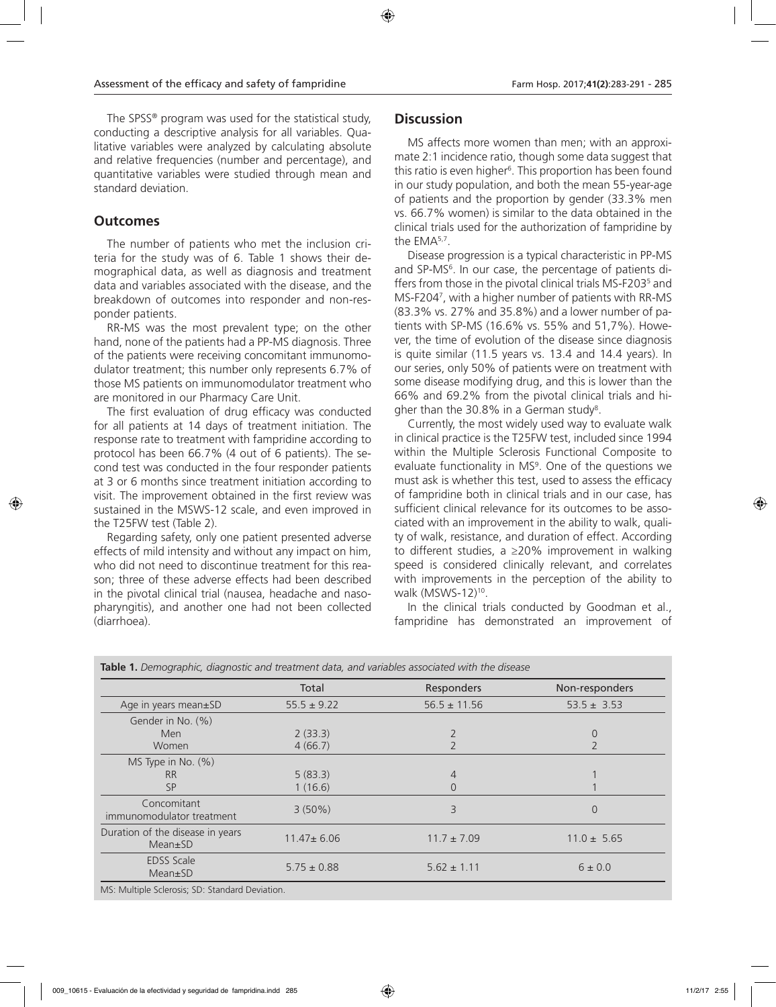The SPSS® program was used for the statistical study, conducting a descriptive analysis for all variables. Qualitative variables were analyzed by calculating absolute and relative frequencies (number and percentage), and quantitative variables were studied through mean and standard deviation.

## **Outcomes**

The number of patients who met the inclusion criteria for the study was of 6. Table 1 shows their demographical data, as well as diagnosis and treatment data and variables associated with the disease, and the breakdown of outcomes into responder and non-responder patients.

RR-MS was the most prevalent type; on the other hand, none of the patients had a PP-MS diagnosis. Three of the patients were receiving concomitant immunomodulator treatment; this number only represents 6.7% of those MS patients on immunomodulator treatment who are monitored in our Pharmacy Care Unit.

The first evaluation of drug efficacy was conducted for all patients at 14 days of treatment initiation. The response rate to treatment with fampridine according to protocol has been 66.7% (4 out of 6 patients). The second test was conducted in the four responder patients at 3 or 6 months since treatment initiation according to visit. The improvement obtained in the first review was sustained in the MSWS-12 scale, and even improved in the T25FW test (Table 2).

Regarding safety, only one patient presented adverse effects of mild intensity and without any impact on him, who did not need to discontinue treatment for this reason; three of these adverse effects had been described in the pivotal clinical trial (nausea, headache and nasopharyngitis), and another one had not been collected (diarrhoea).

## **Discussion**

MS affects more women than men; with an approximate 2:1 incidence ratio, though some data suggest that this ratio is even higher<sup>6</sup>. This proportion has been found in our study population, and both the mean 55-year-age of patients and the proportion by gender (33.3% men vs. 66.7% women) is similar to the data obtained in the clinical trials used for the authorization of fampridine by the EMA5,7.

Disease progression is a typical characteristic in PP-MS and SP-MS6 . In our case, the percentage of patients differs from those in the pivotal clinical trials MS-F2035 and MS-F2047 , with a higher number of patients with RR-MS (83.3% vs. 27% and 35.8%) and a lower number of patients with SP-MS (16.6% vs. 55% and 51,7%). However, the time of evolution of the disease since diagnosis is quite similar (11.5 years vs. 13.4 and 14.4 years). In our series, only 50% of patients were on treatment with some disease modifying drug, and this is lower than the 66% and 69.2% from the pivotal clinical trials and higher than the 30.8% in a German study<sup>8</sup>.

Currently, the most widely used way to evaluate walk in clinical practice is the T25FW test, included since 1994 within the Multiple Sclerosis Functional Composite to evaluate functionality in MS<sup>9</sup>. One of the questions we must ask is whether this test, used to assess the efficacy of fampridine both in clinical trials and in our case, has sufficient clinical relevance for its outcomes to be associated with an improvement in the ability to walk, quality of walk, resistance, and duration of effect. According to different studies, a ≥20% improvement in walking speed is considered clinically relevant, and correlates with improvements in the perception of the ability to walk (MSWS-12)<sup>10</sup>.

In the clinical trials conducted by Goodman et al., fampridine has demonstrated an improvement of

|                                                   | Total            | Responders       | Non-responders  |
|---------------------------------------------------|------------------|------------------|-----------------|
| Age in years mean±SD                              | $55.5 \pm 9.22$  | $56.5 \pm 11.56$ | $53.5 \pm 3.53$ |
| Gender in No. (%)                                 |                  |                  |                 |
| Men                                               | 2(33.3)          |                  | 0               |
| Women                                             | 4(66.7)          |                  |                 |
| MS Type in No. $(\%)$                             |                  |                  |                 |
| <b>RR</b>                                         | 5(83.3)          | $\overline{4}$   |                 |
| <b>SP</b>                                         | 1(16.6)          | $\overline{0}$   |                 |
| Concomitant<br>immunomodulator treatment          | $3(50\%)$        | 3                | 0               |
| Duration of the disease in years<br>$Mean \pm SD$ | $11.47 \pm 6.06$ | $11.7 \pm 7.09$  | $11.0 \pm 5.65$ |
| <b>EDSS Scale</b><br>$Mean \pm SD$                | $5.75 \pm 0.88$  | $5.62 \pm 1.11$  | $6 \pm 0.0$     |

**Table 1.** *Demographic, diagnostic and treatment data, and variables associated with the disease* 

MS: Multiple Sclerosis; SD: Standard Deviation.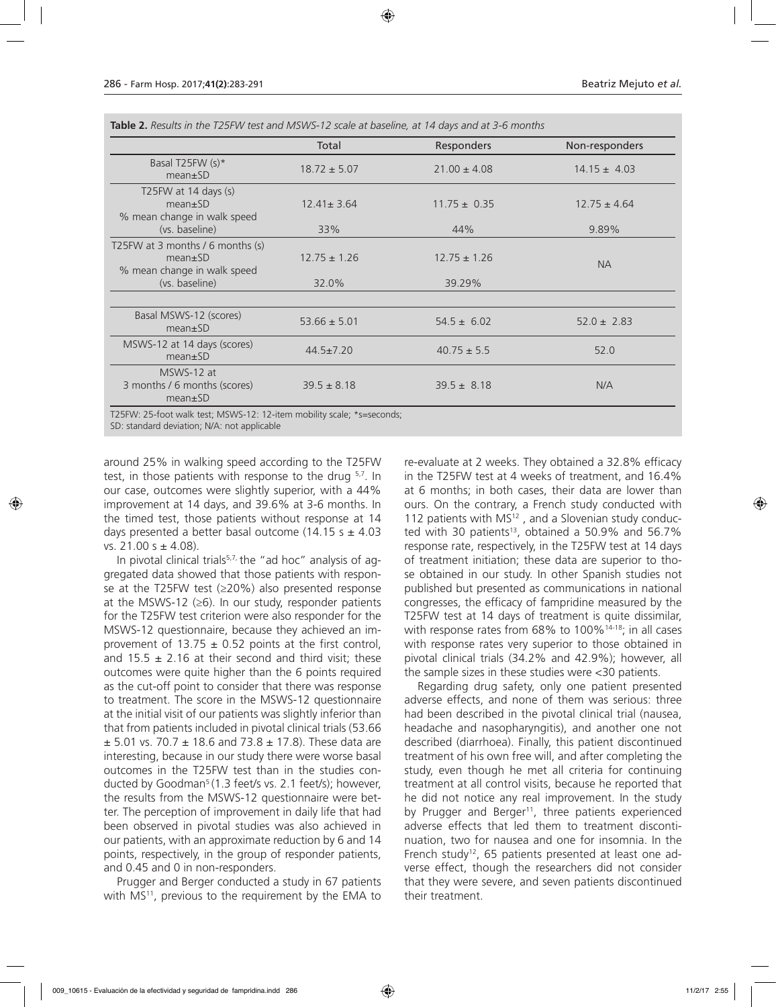|                                                                                    | Total            | Responders       | Non-responders   |
|------------------------------------------------------------------------------------|------------------|------------------|------------------|
| Basal T25FW (s)*<br>$mean \pm SD$                                                  | $18.72 \pm 5.07$ | $21.00 \pm 4.08$ | $14.15 \pm 4.03$ |
| T25FW at 14 days $(s)$<br>$mean \pm SD$<br>% mean change in walk speed             | $12.41 \pm 3.64$ | $11.75 \pm 0.35$ | $12.75 \pm 4.64$ |
| (vs. baseline)                                                                     | 33%              | 44%              | 9.89%            |
| T25FW at 3 months / 6 months $(s)$<br>$mean \pm SD$<br>% mean change in walk speed | $12.75 \pm 1.26$ | $12.75 \pm 1.26$ | <b>NA</b>        |
| (vs. baseline)                                                                     | 32.0%            | 39.29%           |                  |
| Basal MSWS-12 (scores)<br>$mean \pm SD$                                            | $53.66 \pm 5.01$ | $54.5 \pm 6.02$  | $52.0 \pm 2.83$  |
| MSWS-12 at 14 days (scores)<br>$mean \pm SD$                                       | $44.5 \pm 7.20$  | $40.75 \pm 5.5$  | 52.0             |
| MSWS-12 at<br>3 months / 6 months (scores)<br>$mean \pm SD$                        | $39.5 \pm 8.18$  | $39.5 \pm 8.18$  | N/A              |

SD: standard deviation; N/A: not applicable

around 25% in walking speed according to the T25FW test, in those patients with response to the drug 5,7. In our case, outcomes were slightly superior, with a 44% improvement at 14 days, and 39.6% at 3-6 months. In the timed test, those patients without response at 14 days presented a better basal outcome (14.15 s  $\pm$  4.03 vs.  $21.00 s \pm 4.08$ ).

In pivotal clinical trials<sup>5,7,</sup> the "ad hoc" analysis of aggregated data showed that those patients with response at the T25FW test (≥20%) also presented response at the MSWS-12 ( $\geq$ 6). In our study, responder patients for the T25FW test criterion were also responder for the MSWS-12 questionnaire, because they achieved an improvement of 13.75  $\pm$  0.52 points at the first control, and 15.5  $\pm$  2.16 at their second and third visit; these outcomes were quite higher than the 6 points required as the cut-off point to consider that there was response to treatment. The score in the MSWS-12 questionnaire at the initial visit of our patients was slightly inferior than that from patients included in pivotal clinical trials (53.66  $\pm$  5.01 vs. 70.7  $\pm$  18.6 and 73.8  $\pm$  17.8). These data are interesting, because in our study there were worse basal outcomes in the T25FW test than in the studies conducted by Goodman<sup>5</sup> (1.3 feet/s vs. 2.1 feet/s); however, the results from the MSWS-12 questionnaire were better. The perception of improvement in daily life that had been observed in pivotal studies was also achieved in our patients, with an approximate reduction by 6 and 14 points, respectively, in the group of responder patients, and 0.45 and 0 in non-responders.

Prugger and Berger conducted a study in 67 patients with MS<sup>11</sup>, previous to the requirement by the EMA to

re-evaluate at 2 weeks. They obtained a 32.8% efficacy in the T25FW test at 4 weeks of treatment, and 16.4% at 6 months; in both cases, their data are lower than ours. On the contrary, a French study conducted with 112 patients with MS<sup>12</sup>, and a Slovenian study conducted with 30 patients<sup>13</sup>, obtained a 50.9% and 56.7% response rate, respectively, in the T25FW test at 14 days of treatment initiation; these data are superior to those obtained in our study. In other Spanish studies not published but presented as communications in national congresses, the efficacy of fampridine measured by the T25FW test at 14 days of treatment is quite dissimilar, with response rates from 68% to 100%<sup>14-18</sup>; in all cases with response rates very superior to those obtained in pivotal clinical trials (34.2% and 42.9%); however, all the sample sizes in these studies were <30 patients.

Regarding drug safety, only one patient presented adverse effects, and none of them was serious: three had been described in the pivotal clinical trial (nausea, headache and nasopharyngitis), and another one not described (diarrhoea). Finally, this patient discontinued treatment of his own free will, and after completing the study, even though he met all criteria for continuing treatment at all control visits, because he reported that he did not notice any real improvement. In the study by Prugger and Berger<sup>11</sup>, three patients experienced adverse effects that led them to treatment discontinuation, two for nausea and one for insomnia. In the French study<sup>12</sup>, 65 patients presented at least one adverse effect, though the researchers did not consider that they were severe, and seven patients discontinued their treatment.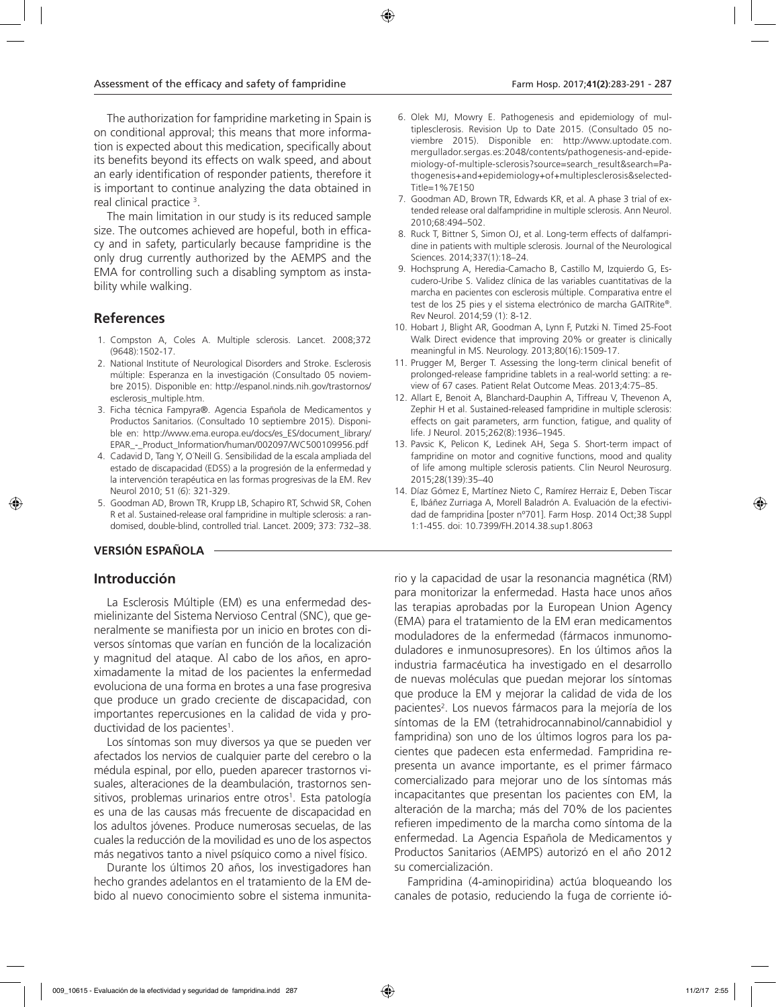The authorization for fampridine marketing in Spain is on conditional approval; this means that more information is expected about this medication, specifically about its benefits beyond its effects on walk speed, and about an early identification of responder patients, therefore it is important to continue analyzing the data obtained in real clinical practice 3 .

The main limitation in our study is its reduced sample size. The outcomes achieved are hopeful, both in efficacy and in safety, particularly because fampridine is the only drug currently authorized by the AEMPS and the EMA for controlling such a disabling symptom as instability while walking.

## **References**

- 1. Compston A, Coles A. Multiple sclerosis. Lancet. 2008;372 (9648):1502-17.
- 2. National Institute of Neurological Disorders and Stroke. Esclerosis múltiple: Esperanza en la investigación (Consultado 05 noviembre 2015). Disponible en: http://espanol.ninds.nih.gov/trastornos/ esclerosis\_multiple.htm.
- 3. Ficha técnica Fampyra®. Agencia Española de Medicamentos y Productos Sanitarios. (Consultado 10 septiembre 2015). Disponible en: http://www.ema.europa.eu/docs/es\_ES/document\_library/ EPAR\_-\_Product\_Information/human/002097/WC500109956.pdf
- 4. Cadavid D, Tang Y, O´Neill G. Sensibilidad de la escala ampliada del estado de discapacidad (EDSS) a la progresión de la enfermedad y la intervención terapéutica en las formas progresivas de la EM. Rev Neurol 2010; 51 (6): 321-329.
- 5. Goodman AD, Brown TR, Krupp LB, Schapiro RT, Schwid SR, Cohen R et al. Sustained-release oral fampridine in multiple sclerosis: a randomised, double-blind, controlled trial. Lancet. 2009; 373: 732–38.

#### **VERSIÓN ESPAÑOLA**

## **Introducción**

La Esclerosis Múltiple (EM) es una enfermedad desmielinizante del Sistema Nervioso Central (SNC), que generalmente se manifiesta por un inicio en brotes con diversos síntomas que varían en función de la localización y magnitud del ataque. Al cabo de los años, en aproximadamente la mitad de los pacientes la enfermedad evoluciona de una forma en brotes a una fase progresiva que produce un grado creciente de discapacidad, con importantes repercusiones en la calidad de vida y productividad de los pacientes<sup>1</sup>.

Los síntomas son muy diversos ya que se pueden ver afectados los nervios de cualquier parte del cerebro o la médula espinal, por ello, pueden aparecer trastornos visuales, alteraciones de la deambulación, trastornos sensitivos, problemas urinarios entre otros<sup>1</sup>. Esta patología es una de las causas más frecuente de discapacidad en los adultos jóvenes. Produce numerosas secuelas, de las cuales la reducción de la movilidad es uno de los aspectos más negativos tanto a nivel psíquico como a nivel físico.

Durante los últimos 20 años, los investigadores han hecho grandes adelantos en el tratamiento de la EM debido al nuevo conocimiento sobre el sistema inmunita-

- 6. Olek MJ, Mowry E. Pathogenesis and epidemiology of multiplesclerosis. Revision Up to Date 2015. (Consultado 05 noviembre 2015). Disponible en: http://www.uptodate.com. mergullador.sergas.es:2048/contents/pathogenesis-and-epidemiology-of-multiple-sclerosis?source=search\_result&search=Pathogenesis+and+epidemiology+of+multiplesclerosis&selected-Title=1%7E150
- 7. Goodman AD, Brown TR, Edwards KR, et al. A phase 3 trial of extended release oral dalfampridine in multiple sclerosis. Ann Neurol. 2010;68:494–502.
- 8. Ruck T, Bittner S, Simon OJ, et al. Long-term effects of dalfampridine in patients with multiple sclerosis. Journal of the Neurological Sciences. 2014;337(1):18–24.
- 9. Hochsprung A, Heredia-Camacho B, Castillo M, Izquierdo G, Escudero-Uribe S. Validez clínica de las variables cuantitativas de la marcha en pacientes con esclerosis múltiple. Comparativa entre el test de los 25 pies y el sistema electrónico de marcha GAITRite®. Rev Neurol. 2014;59 (1): 8-12.
- 10. Hobart J, Blight AR, Goodman A, Lynn F, Putzki N. Timed 25-Foot Walk Direct evidence that improving 20% or greater is clinically meaningful in MS. Neurology. 2013;80(16):1509-17.
- 11. Prugger M, Berger T. Assessing the long-term clinical benefit of prolonged-release fampridine tablets in a real-world setting: a review of 67 cases. Patient Relat Outcome Meas. 2013;4:75–85.
- 12. Allart E, Benoit A, Blanchard-Dauphin A, Tiffreau V, Thevenon A, Zephir H et al. Sustained-released fampridine in multiple sclerosis: effects on gait parameters, arm function, fatigue, and quality of life. J Neurol. 2015;262(8):1936–1945.
- 13. Pavsic K, Pelicon K, Ledinek AH, Sega S. Short-term impact of fampridine on motor and cognitive functions, mood and quality of life among multiple sclerosis patients. Clin Neurol Neurosurg. 2015;28(139):35–40
- 14. Díaz Gómez E, Martínez Nieto C, Ramírez Herraiz E, Deben Tiscar E, Ibáñez Zurriaga A, Morell Baladrón A. Evaluación de la efectividad de fampridina [poster nº701]. Farm Hosp. 2014 Oct;38 Suppl 1:1-455. doi: 10.7399/FH.2014.38.sup1.8063

rio y la capacidad de usar la resonancia magnética (RM) para monitorizar la enfermedad. Hasta hace unos años las terapias aprobadas por la European Union Agency (EMA) para el tratamiento de la EM eran medicamentos moduladores de la enfermedad (fármacos inmunomoduladores e inmunosupresores). En los últimos años la industria farmacéutica ha investigado en el desarrollo de nuevas moléculas que puedan mejorar los síntomas que produce la EM y mejorar la calidad de vida de los pacientes<sup>2</sup>. Los nuevos fármacos para la mejoría de los síntomas de la EM (tetrahidrocannabinol/cannabidiol y fampridina) son uno de los últimos logros para los pacientes que padecen esta enfermedad. Fampridina representa un avance importante, es el primer fármaco comercializado para mejorar uno de los síntomas más incapacitantes que presentan los pacientes con EM, la alteración de la marcha; más del 70% de los pacientes refieren impedimento de la marcha como síntoma de la enfermedad. La Agencia Española de Medicamentos y Productos Sanitarios (AEMPS) autorizó en el año 2012 su comercialización.

Fampridina (4-aminopiridina) actúa bloqueando los canales de potasio, reduciendo la fuga de corriente ió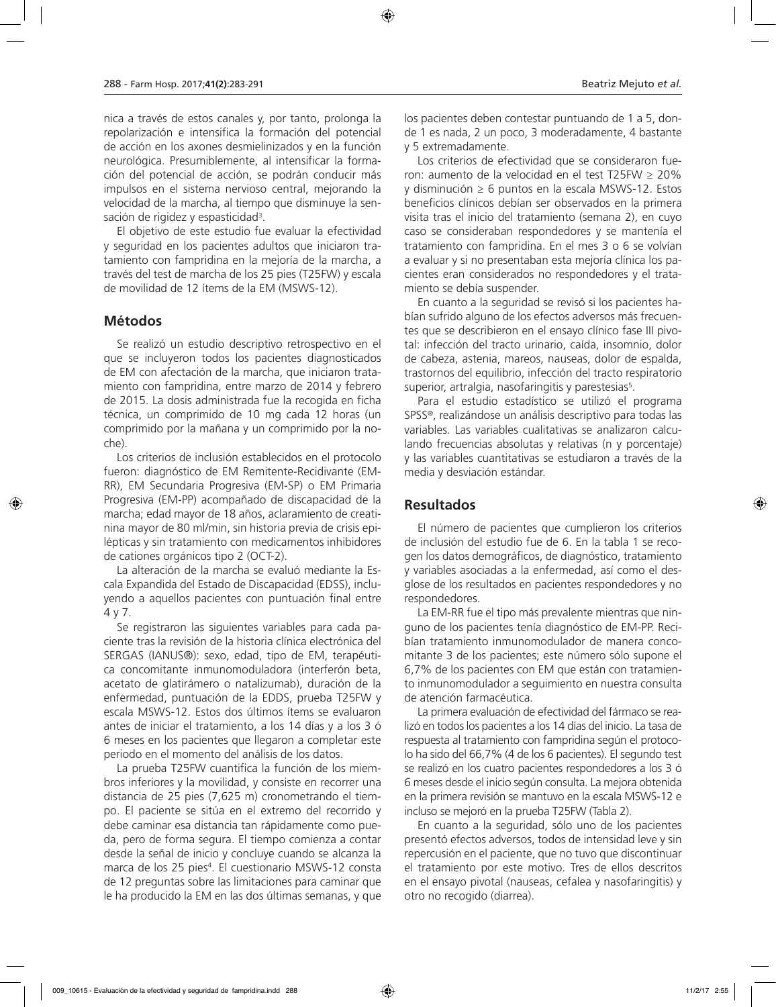nica a través de estos canales y, por tanto, prolonga la repolarización e intensifica la formación del potencial de acción en los axones desmielinizados y en la función neurológica. Presumiblemente, al intensificar la formación del potencial de acción, se podrán conducir más impulsos en el sistema nervioso central, mejorando la velocidad de la marcha, al tiempo que disminuye la sensación de rigidez y espasticidad<sup>3</sup>.

El objetivo de este estudio fue evaluar la efectividad y seguridad en los pacientes adultos que iniciaron tratamiento con fampridina en la mejoría de la marcha, a través del test de marcha de los 25 pies (T25FW) y escala de movilidad de 12 ítems de la EM (MSWS-12).

#### **Métodos**

Se realizó un estudio descriptivo retrospectivo en el que se incluyeron todos los pacientes diagnosticados de EM con afectación de la marcha, que iniciaron tratamiento con fampridina, entre marzo de 2014 y febrero de 2015. La dosis administrada fue la recogida en ficha técnica, un comprimido de 10 mg cada 12 horas (un comprimido por la mañana y un comprimido por la noche).

Los criterios de inclusión establecidos en el protocolo fueron: diagnóstico de EM Remitente-Recidivante (EM-RR), EM Secundaria Progresiva (EM-SP) o EM Primaria Progresiva (EM-PP) acompañado de discapacidad de la marcha; edad mayor de 18 años, aclaramiento de creatinina mayor de 80 ml/min, sin historia previa de crisis epilépticas y sin tratamiento con medicamentos inhibidores de cationes orgánicos tipo 2 (OCT-2).

La alteración de la marcha se evaluó mediante la Escala Expandida del Estado de Discapacidad (EDSS), incluyendo a aquellos pacientes con puntuación final entre 4 y 7.

Se registraron las siguientes variables para cada paciente tras la revisión de la historia clínica electrónica del SERGAS (IANUS®): sexo, edad, tipo de EM, terapéutica concomitante inmunomoduladora (interferón beta, acetato de glatirámero o natalizumab), duración de la enfermedad, puntuación de la EDDS, prueba T25FW y escala MSWS-12. Estos dos últimos ítems se evaluaron antes de iniciar el tratamiento, a los 14 días y a los 3 ó 6 meses en los pacientes que llegaron a completar este periodo en el momento del análisis de los datos.

La prueba T25FW cuantifica la función de los miembros inferiores y la movilidad, y consiste en recorrer una distancia de 25 pies (7,625 m) cronometrando el tiempo. El paciente se sitúa en el extremo del recorrido y debe caminar esa distancia tan rápidamente como pueda, pero de forma segura. El tiempo comienza a contar desde la señal de inicio y concluye cuando se alcanza la marca de los 25 pies4 . El cuestionario MSWS-12 consta de 12 preguntas sobre las limitaciones para caminar que le ha producido la EM en las dos últimas semanas, y que

los pacientes deben contestar puntuando de 1 a 5, donde 1 es nada, 2 un poco, 3 moderadamente, 4 bastante y 5 extremadamente.

Los criterios de efectividad que se consideraron fueron: aumento de la velocidad en el test T25FW ≥ 20% y disminución ≥ 6 puntos en la escala MSWS-12. Estos beneficios clínicos debían ser observados en la primera visita tras el inicio del tratamiento (semana 2), en cuyo caso se consideraban respondedores y se mantenía el tratamiento con fampridina. En el mes 3 o 6 se volvían a evaluar y si no presentaban esta mejoría clínica los pacientes eran considerados no respondedores y el tratamiento se debía suspender.

En cuanto a la seguridad se revisó si los pacientes habían sufrido alguno de los efectos adversos más frecuentes que se describieron en el ensayo clínico fase III pivotal: infección del tracto urinario, caída, insomnio, dolor de cabeza, astenia, mareos, nauseas, dolor de espalda, trastornos del equilibrio, infección del tracto respiratorio superior, artralgia, nasofaringitis y parestesias<sup>5</sup>.

Para el estudio estadístico se utilizó el programa SPSS®, realizándose un análisis descriptivo para todas las variables. Las variables cualitativas se analizaron calculando frecuencias absolutas y relativas (n y porcentaje) y las variables cuantitativas se estudiaron a través de la media y desviación estándar.

#### **Resultados**

El número de pacientes que cumplieron los criterios de inclusión del estudio fue de 6. En la tabla 1 se recogen los datos demográficos, de diagnóstico, tratamiento y variables asociadas a la enfermedad, así como el desglose de los resultados en pacientes respondedores y no respondedores.

La EM-RR fue el tipo más prevalente mientras que ninguno de los pacientes tenía diagnóstico de EM-PP. Recibían tratamiento inmunomodulador de manera concomitante 3 de los pacientes; este número sólo supone el 6,7% de los pacientes con EM que están con tratamiento inmunomodulador a seguimiento en nuestra consulta de atención farmacéutica.

La primera evaluación de efectividad del fármaco se realizó en todos los pacientes a los 14 días del inicio. La tasa de respuesta al tratamiento con fampridina según el protocolo ha sido del 66,7% (4 de los 6 pacientes). El segundo test se realizó en los cuatro pacientes respondedores a los 3 ó 6 meses desde el inicio según consulta. La mejora obtenida en la primera revisión se mantuvo en la escala MSWS-12 e incluso se mejoró en la prueba T25FW (Tabla 2).

En cuanto a la seguridad, sólo uno de los pacientes presentó efectos adversos, todos de intensidad leve y sin repercusión en el paciente, que no tuvo que discontinuar el tratamiento por este motivo. Tres de ellos descritos en el ensayo pivotal (nauseas, cefalea y nasofaringitis) y otro no recogido (diarrea).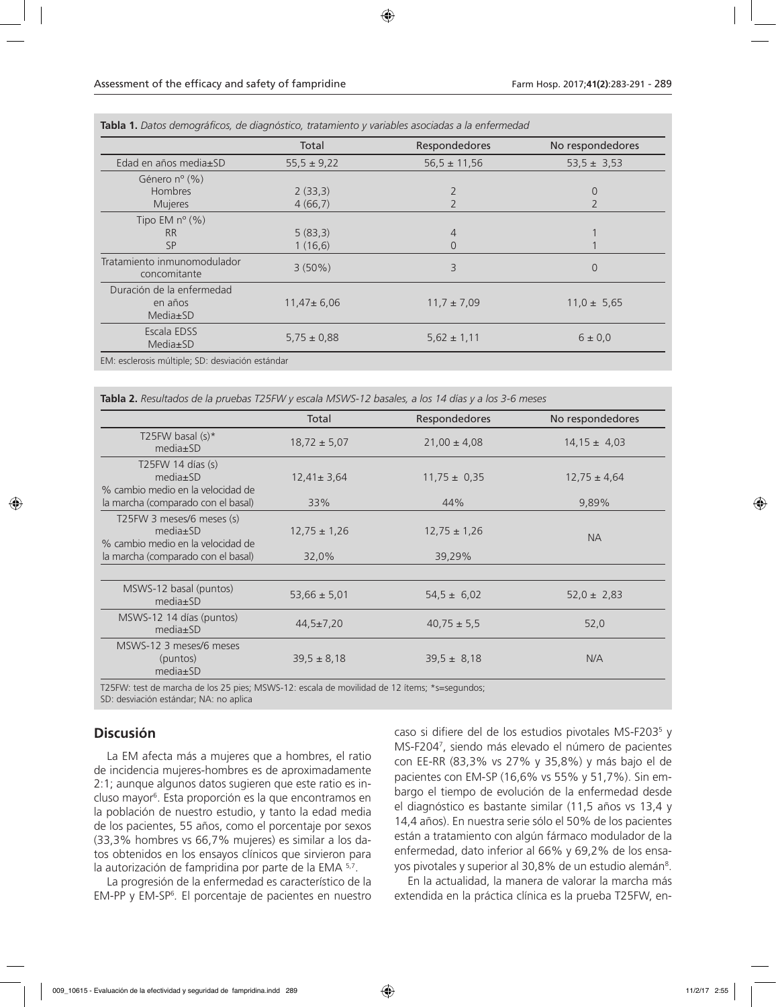|                                                  | Total            | Respondedores    | No respondedores |
|--------------------------------------------------|------------------|------------------|------------------|
| Edad en años media±SD                            | $55,5 \pm 9,22$  | $56,5 \pm 11,56$ | $53,5 \pm 3,53$  |
| Género $n^{\circ}$ (%)                           |                  |                  |                  |
| Hombres                                          | 2(33,3)          |                  | 0                |
| <b>Mujeres</b>                                   | 4(66,7)          |                  |                  |
| Tipo EM $n^{\circ}$ (%)                          |                  |                  |                  |
| <b>RR</b>                                        | 5(83,3)          | $\overline{4}$   |                  |
| <b>SP</b>                                        | 1(16,6)          | $\overline{0}$   |                  |
| Tratamiento inmunomodulador<br>concomitante      | $3(50\%)$        | 3                | $\Omega$         |
| Duración de la enfermedad<br>en años<br>Media±SD | $11,47 \pm 6,06$ | $11,7 \pm 7,09$  | $11,0 \pm 5,65$  |
| Escala EDSS<br>Media±SD                          | $5.75 \pm 0.88$  | $5.62 \pm 1.11$  | $6 \pm 0.0$      |

**Tabla 1.** *Datos demográficos, de diagnóstico, tratamiento y variables asociadas a la enfermedad* 

**Tabla 2.** *Resultados de la pruebas T25FW y escala MSWS-12 basales, a los 14 días y a los 3-6 meses* 

|                                                                                  | Total            | <b>Respondedores</b> | No respondedores |
|----------------------------------------------------------------------------------|------------------|----------------------|------------------|
| T25FW basal $(s)^*$<br>$media \pm SD$                                            | $18,72 \pm 5,07$ | $21,00 \pm 4,08$     | $14.15 \pm 4.03$ |
| T25FW 14 días (s)<br>$media \pm SD$<br>% cambio medio en la velocidad de         | $12,41 \pm 3,64$ | $11,75 \pm 0,35$     | $12,75 \pm 4,64$ |
| la marcha (comparado con el basal)                                               | 33%              | 44%                  | 9,89%            |
| T25FW 3 meses/6 meses (s)<br>$media \pm SD$<br>% cambio medio en la velocidad de | $12,75 \pm 1,26$ | $12,75 \pm 1,26$     | <b>NA</b>        |
| la marcha (comparado con el basal)                                               | 32,0%            | 39,29%               |                  |
|                                                                                  |                  |                      |                  |
| MSWS-12 basal (puntos)<br>$media \pm SD$                                         | $53,66 \pm 5,01$ | $54.5 \pm 6.02$      | $52,0 \pm 2,83$  |
| MSWS-12 14 días (puntos)<br>$media \pm SD$                                       | $44,5 \pm 7,20$  | $40,75 \pm 5,5$      | 52,0             |
| MSWS-12 3 meses/6 meses<br>(puntos)<br>$media \pm SD$                            | $39.5 \pm 8.18$  | $39.5 \pm 8.18$      | N/A              |

T25FW: test de marcha de los 25 pies; MSWS-12: escala de movilidad de 12 ítems; \*s=segundos; SD: desviación estándar; NA: no aplica

## **Discusión**

La EM afecta más a mujeres que a hombres, el ratio de incidencia mujeres-hombres es de aproximadamente 2:1; aunque algunos datos sugieren que este ratio es incluso mayor6 . Esta proporción es la que encontramos en la población de nuestro estudio, y tanto la edad media de los pacientes, 55 años, como el porcentaje por sexos (33,3% hombres vs 66,7% mujeres) es similar a los datos obtenidos en los ensayos clínicos que sirvieron para la autorización de fampridina por parte de la EMA 5,7.

La progresión de la enfermedad es característico de la EM-PP y EM-SP6 *.* El porcentaje de pacientes en nuestro

caso si difiere del de los estudios pivotales MS-F203<sup>5</sup> y MS-F2047 , siendo más elevado el número de pacientes con EE-RR (83,3% vs 27% y 35,8%) y más bajo el de pacientes con EM-SP (16,6% vs 55% y 51,7%). Sin embargo el tiempo de evolución de la enfermedad desde el diagnóstico es bastante similar (11,5 años vs 13,4 y 14,4 años). En nuestra serie sólo el 50% de los pacientes están a tratamiento con algún fármaco modulador de la enfermedad, dato inferior al 66% y 69,2% de los ensayos pivotales y superior al 30,8% de un estudio alemán<sup>8</sup>.

En la actualidad, la manera de valorar la marcha más extendida en la práctica clínica es la prueba T25FW, en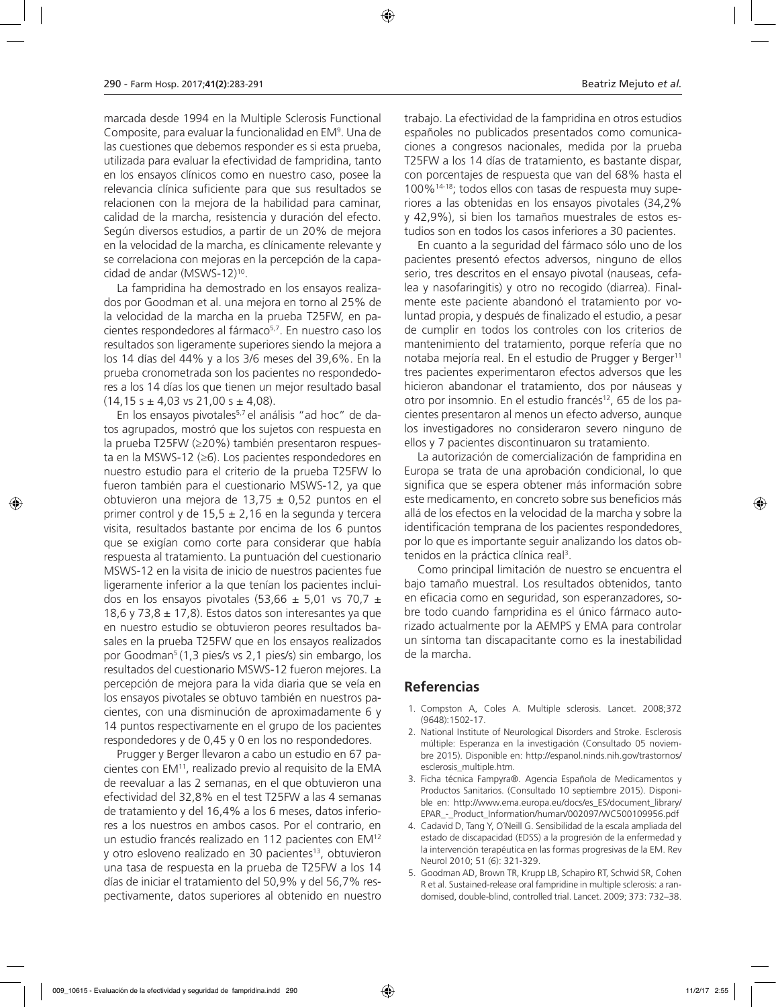marcada desde 1994 en la Multiple Sclerosis Functional Composite, para evaluar la funcionalidad en EM9 . Una de las cuestiones que debemos responder es si esta prueba, utilizada para evaluar la efectividad de fampridina, tanto en los ensayos clínicos como en nuestro caso, posee la relevancia clínica suficiente para que sus resultados se relacionen con la mejora de la habilidad para caminar, calidad de la marcha, resistencia y duración del efecto. Según diversos estudios, a partir de un 20% de mejora en la velocidad de la marcha, es clínicamente relevante y se correlaciona con mejoras en la percepción de la capacidad de andar (MSWS-12)10.

La fampridina ha demostrado en los ensayos realizados por Goodman et al. una mejora en torno al 25% de la velocidad de la marcha en la prueba T25FW, en pacientes respondedores al fármaco<sup>5,7</sup>. En nuestro caso los resultados son ligeramente superiores siendo la mejora a los 14 días del 44% y a los 3/6 meses del 39,6%. En la prueba cronometrada son los pacientes no respondedores a los 14 días los que tienen un mejor resultado basal  $(14, 15 s \pm 4, 03 vs 21, 00 s \pm 4, 08)$ .

En los ensayos pivotales<sup>5,7</sup> el análisis "ad hoc" de datos agrupados, mostró que los sujetos con respuesta en la prueba T25FW (≥20%) también presentaron respuesta en la MSWS-12 (≥6). Los pacientes respondedores en nuestro estudio para el criterio de la prueba T25FW lo fueron también para el cuestionario MSWS-12, ya que obtuvieron una mejora de 13,75  $\pm$  0,52 puntos en el primer control y de 15,5  $\pm$  2,16 en la segunda y tercera visita, resultados bastante por encima de los 6 puntos que se exigían como corte para considerar que había respuesta al tratamiento. La puntuación del cuestionario MSWS-12 en la visita de inicio de nuestros pacientes fue ligeramente inferior a la que tenían los pacientes incluidos en los ensayos pivotales (53,66  $\pm$  5,01 vs 70,7  $\pm$ 18,6 y 73,8  $\pm$  17,8). Estos datos son interesantes ya que en nuestro estudio se obtuvieron peores resultados basales en la prueba T25FW que en los ensayos realizados por Goodman<sup>5</sup> (1,3 pies/s vs 2,1 pies/s) sin embargo, los resultados del cuestionario MSWS-12 fueron mejores. La percepción de mejora para la vida diaria que se veía en los ensayos pivotales se obtuvo también en nuestros pacientes, con una disminución de aproximadamente 6 y 14 puntos respectivamente en el grupo de los pacientes respondedores y de 0,45 y 0 en los no respondedores.

Prugger y Berger llevaron a cabo un estudio en 67 pacientes con EM11, realizado previo al requisito de la EMA de reevaluar a las 2 semanas, en el que obtuvieron una efectividad del 32,8% en el test T25FW a las 4 semanas de tratamiento y del 16,4% a los 6 meses, datos inferiores a los nuestros en ambos casos. Por el contrario, en un estudio francés realizado en 112 pacientes con EM12 y otro esloveno realizado en 30 pacientes<sup>13</sup>, obtuvieron una tasa de respuesta en la prueba de T25FW a los 14 días de iniciar el tratamiento del 50,9% y del 56,7% respectivamente, datos superiores al obtenido en nuestro

trabajo. La efectividad de la fampridina en otros estudios españoles no publicados presentados como comunicaciones a congresos nacionales, medida por la prueba T25FW a los 14 días de tratamiento, es bastante dispar, con porcentajes de respuesta que van del 68% hasta el 100%14-18; todos ellos con tasas de respuesta muy superiores a las obtenidas en los ensayos pivotales (34,2% y 42,9%), si bien los tamaños muestrales de estos estudios son en todos los casos inferiores a 30 pacientes.

En cuanto a la seguridad del fármaco sólo uno de los pacientes presentó efectos adversos, ninguno de ellos serio, tres descritos en el ensayo pivotal (nauseas, cefalea y nasofaringitis) y otro no recogido (diarrea). Finalmente este paciente abandonó el tratamiento por voluntad propia, y después de finalizado el estudio, a pesar de cumplir en todos los controles con los criterios de mantenimiento del tratamiento, porque refería que no notaba mejoría real. En el estudio de Prugger y Berger11 tres pacientes experimentaron efectos adversos que les hicieron abandonar el tratamiento, dos por náuseas y otro por insomnio. En el estudio francés<sup>12</sup>, 65 de los pacientes presentaron al menos un efecto adverso, aunque los investigadores no consideraron severo ninguno de ellos y 7 pacientes discontinuaron su tratamiento.

La autorización de comercialización de fampridina en Europa se trata de una aprobación condicional, lo que significa que se espera obtener más información sobre este medicamento, en concreto sobre sus beneficios más allá de los efectos en la velocidad de la marcha y sobre la identificación temprana de los pacientes respondedores¸ por lo que es importante seguir analizando los datos obtenidos en la práctica clínica real<sup>3</sup>.

Como principal limitación de nuestro se encuentra el bajo tamaño muestral. Los resultados obtenidos, tanto en eficacia como en seguridad, son esperanzadores, sobre todo cuando fampridina es el único fármaco autorizado actualmente por la AEMPS y EMA para controlar un síntoma tan discapacitante como es la inestabilidad de la marcha.

#### **Referencias**

- 1. Compston A, Coles A. Multiple sclerosis. Lancet. 2008;372 (9648):1502-17.
- 2. National Institute of Neurological Disorders and Stroke. Esclerosis múltiple: Esperanza en la investigación (Consultado 05 noviembre 2015). Disponible en: http://espanol.ninds.nih.gov/trastornos/ esclerosis\_multiple.htm.
- 3. Ficha técnica Fampyra®. Agencia Española de Medicamentos y Productos Sanitarios. (Consultado 10 septiembre 2015). Disponible en: http://www.ema.europa.eu/docs/es\_ES/document\_library/ EPAR\_-\_Product\_Information/human/002097/WC500109956.pdf
- 4. Cadavid D, Tang Y, O´Neill G. Sensibilidad de la escala ampliada del estado de discapacidad (EDSS) a la progresión de la enfermedad y la intervención terapéutica en las formas progresivas de la EM. Rev Neurol 2010; 51 (6): 321-329.
- 5. Goodman AD, Brown TR, Krupp LB, Schapiro RT, Schwid SR, Cohen R et al. Sustained-release oral fampridine in multiple sclerosis: a randomised, double-blind, controlled trial. Lancet. 2009; 373: 732–38.